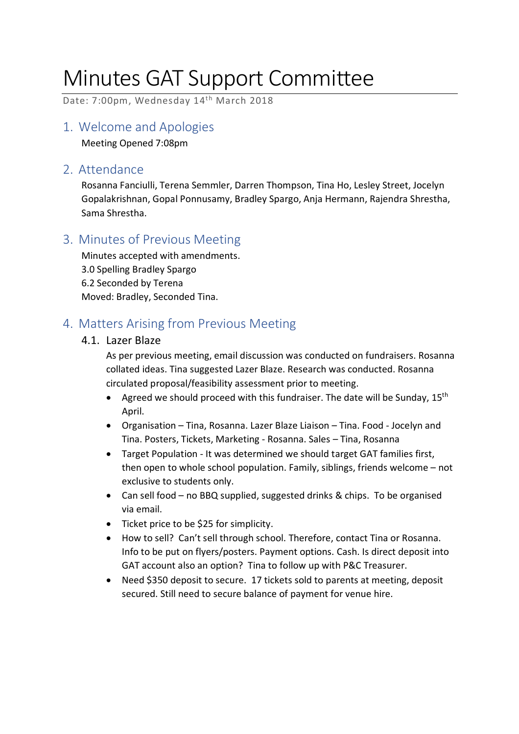# Minutes GAT Support Committee

Date: 7:00pm, Wednesday 14<sup>th</sup> March 2018

# 1. Welcome and Apologies

Meeting Opened 7:08pm

# 2. Attendance

Rosanna Fanciulli, Terena Semmler, Darren Thompson, Tina Ho, Lesley Street, Jocelyn Gopalakrishnan, Gopal Ponnusamy, Bradley Spargo, Anja Hermann, Rajendra Shrestha, Sama Shrestha.

# 3. Minutes of Previous Meeting

Minutes accepted with amendments. 3.0 Spelling Bradley Spargo 6.2 Seconded by Terena Moved: Bradley, Seconded Tina.

# 4. Matters Arising from Previous Meeting

## 4.1. Lazer Blaze

As per previous meeting, email discussion was conducted on fundraisers. Rosanna collated ideas. Tina suggested Lazer Blaze. Research was conducted. Rosanna circulated proposal/feasibility assessment prior to meeting.

- Agreed we should proceed with this fundraiser. The date will be Sunday,  $15<sup>th</sup>$ April.
- Organisation Tina, Rosanna. Lazer Blaze Liaison Tina. Food Jocelyn and Tina. Posters, Tickets, Marketing - Rosanna. Sales – Tina, Rosanna
- Target Population It was determined we should target GAT families first, then open to whole school population. Family, siblings, friends welcome – not exclusive to students only.
- Can sell food no BBQ supplied, suggested drinks & chips. To be organised via email.
- Ticket price to be \$25 for simplicity.
- How to sell? Can't sell through school. Therefore, contact Tina or Rosanna. Info to be put on flyers/posters. Payment options. Cash. Is direct deposit into GAT account also an option? Tina to follow up with P&C Treasurer.
- Need \$350 deposit to secure. 17 tickets sold to parents at meeting, deposit secured. Still need to secure balance of payment for venue hire.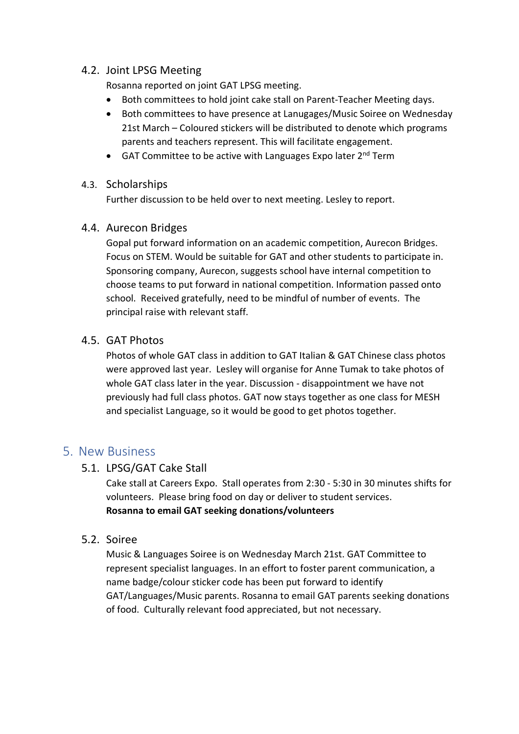## 4.2. Joint LPSG Meeting

Rosanna reported on joint GAT LPSG meeting.

- Both committees to hold joint cake stall on Parent-Teacher Meeting days.
- Both committees to have presence at Lanugages/Music Soiree on Wednesday 21st March – Coloured stickers will be distributed to denote which programs parents and teachers represent. This will facilitate engagement.
- GAT Committee to be active with Languages Expo later  $2^{nd}$  Term

#### 4.3. Scholarships

Further discussion to be held over to next meeting. Lesley to report.

## 4.4. Aurecon Bridges

Gopal put forward information on an academic competition, Aurecon Bridges. Focus on STEM. Would be suitable for GAT and other students to participate in. Sponsoring company, Aurecon, suggests school have internal competition to choose teams to put forward in national competition. Information passed onto school. Received gratefully, need to be mindful of number of events. The principal raise with relevant staff.

## 4.5. GAT Photos

Photos of whole GAT class in addition to GAT Italian & GAT Chinese class photos were approved last year. Lesley will organise for Anne Tumak to take photos of whole GAT class later in the year. Discussion - disappointment we have not previously had full class photos. GAT now stays together as one class for MESH and specialist Language, so it would be good to get photos together.

## 5. New Business

## 5.1. LPSG/GAT Cake Stall

Cake stall at Careers Expo. Stall operates from 2:30 - 5:30 in 30 minutes shifts for volunteers. Please bring food on day or deliver to student services. **Rosanna to email GAT seeking donations/volunteers** 

## 5.2. Soiree

Music & Languages Soiree is on Wednesday March 21st. GAT Committee to represent specialist languages. In an effort to foster parent communication, a name badge/colour sticker code has been put forward to identify GAT/Languages/Music parents. Rosanna to email GAT parents seeking donations of food. Culturally relevant food appreciated, but not necessary.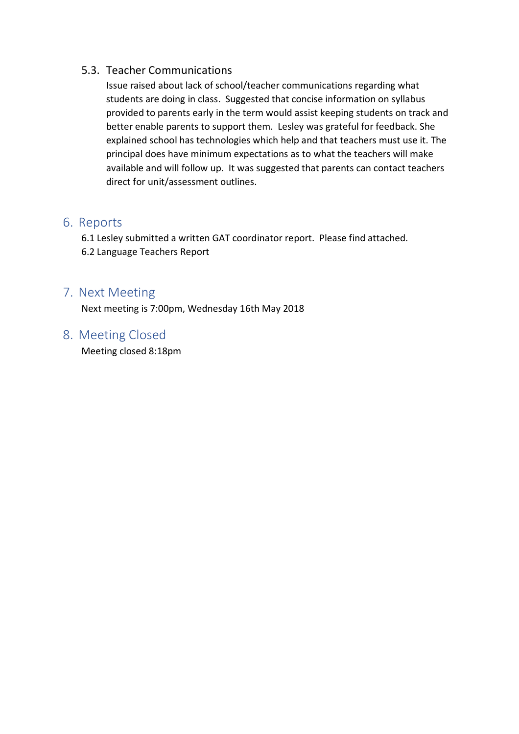## 5.3. Teacher Communications

Issue raised about lack of school/teacher communications regarding what students are doing in class. Suggested that concise information on syllabus provided to parents early in the term would assist keeping students on track and better enable parents to support them. Lesley was grateful for feedback. She explained school has technologies which help and that teachers must use it. The principal does have minimum expectations as to what the teachers will make available and will follow up. It was suggested that parents can contact teachers direct for unit/assessment outlines.

## 6. Reports

6.1 Lesley submitted a written GAT coordinator report. Please find attached. 6.2 Language Teachers Report

# 7. Next Meeting

Next meeting is 7:00pm, Wednesday 16th May 2018

8. Meeting Closed

Meeting closed 8:18pm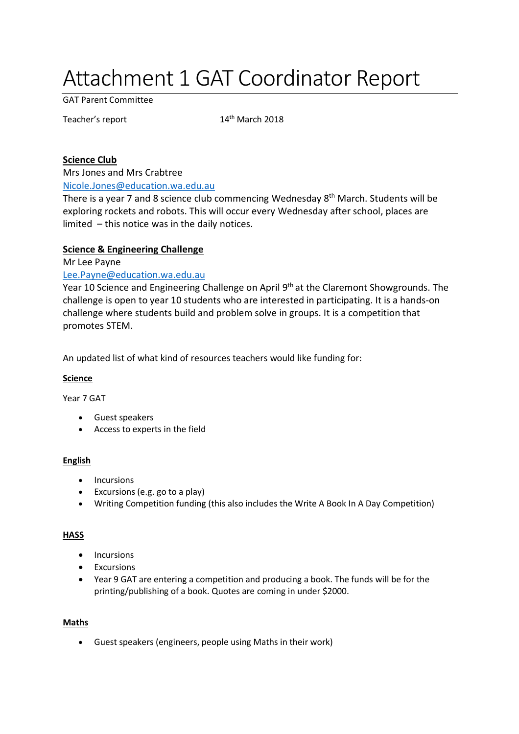# Attachment 1 GAT Coordinator Report

GAT Parent Committee

Teacher's report 14<sup>th</sup> March 2018

#### **Science Club**

Mrs Jones and Mrs Crabtree

Nicole.Jones@education.wa.edu.au

There is a year 7 and 8 science club commencing Wednesday 8<sup>th</sup> March. Students will be exploring rockets and robots. This will occur every Wednesday after school, places are limited – this notice was in the daily notices.

#### **Science & Engineering Challenge**

Mr Lee Payne

#### Lee.Payne@education.wa.edu.au

Year 10 Science and Engineering Challenge on April 9<sup>th</sup> at the Claremont Showgrounds. The challenge is open to year 10 students who are interested in participating. It is a hands-on challenge where students build and problem solve in groups. It is a competition that promotes STEM.

An updated list of what kind of resources teachers would like funding for:

#### **Science**

Year 7 GAT

- Guest speakers
- Access to experts in the field

#### **English**

- Incursions
- Excursions (e.g. go to a play)
- Writing Competition funding (this also includes the Write A Book In A Day Competition)

#### **HASS**

- Incursions
- **•** Excursions
- Year 9 GAT are entering a competition and producing a book. The funds will be for the printing/publishing of a book. Quotes are coming in under \$2000.

#### **Maths**

Guest speakers (engineers, people using Maths in their work)